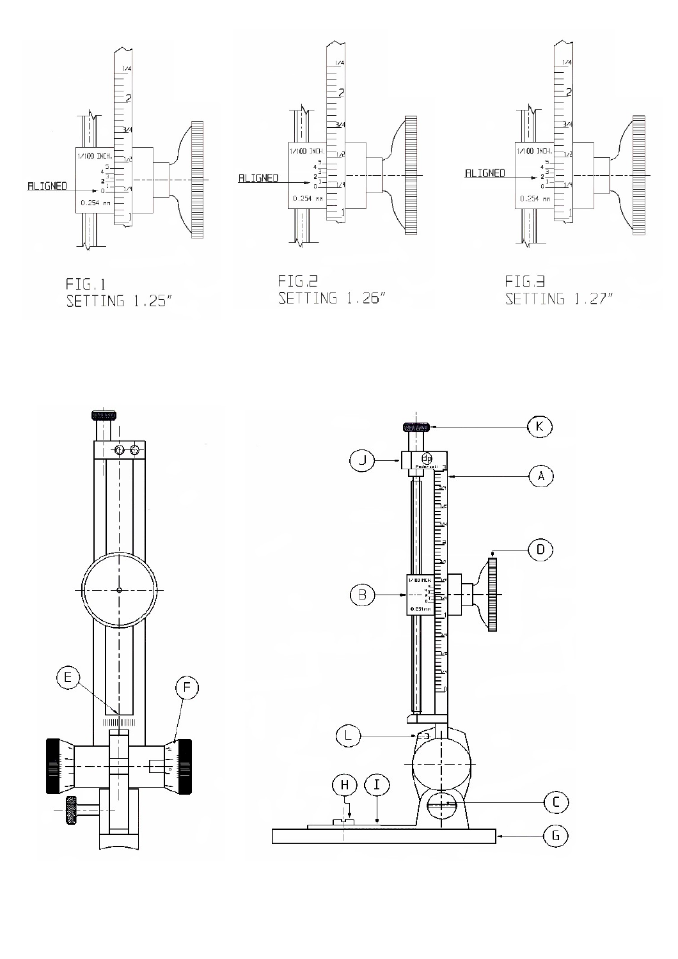

FIG.1<br>SETTING 1.25"

FIG.2<br>SETTING 1.26″

FIG.<del>3</del><br>SETTING 1.27"

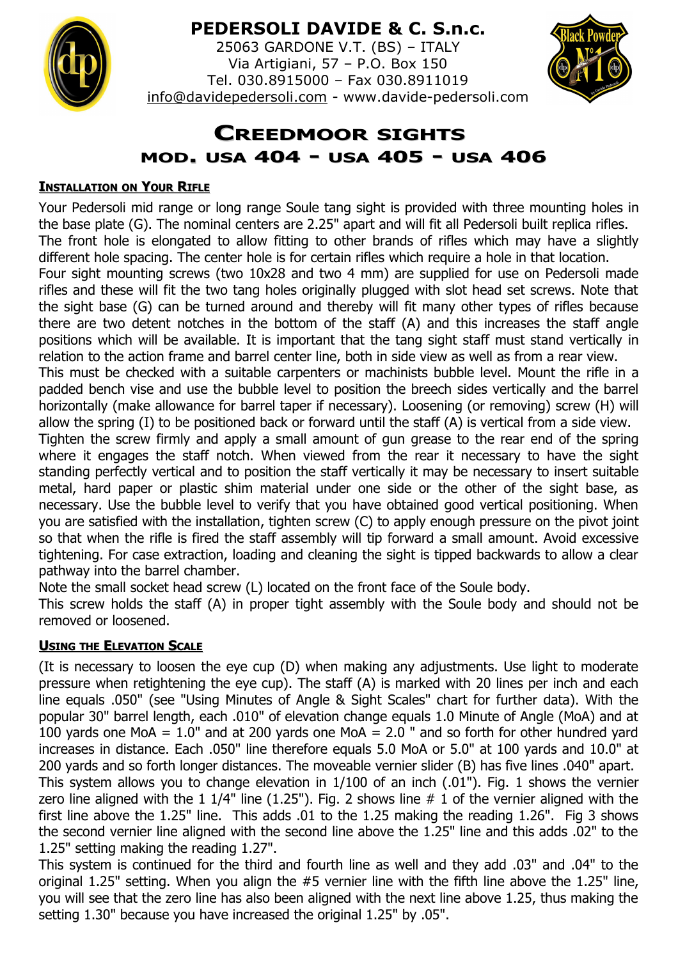

# **PEDERSOLI DAVIDE & C. S.n.c.**

25063 GARDONE V.T. (BS) – ITALY Via Artigiani, 57 – P.O. Box 150 Tel. 030.8915000 – Fax 030.8911019 [info@davidepedersoli.com](mailto:info@davidepedersoli.com) - www.davide-pedersoli.com



# **CREEDMOOR SIGHTS MOD. USA 404 - USA 405 - USA 406**

### **INSTALLATION ON YOUR RIFLE**

Your Pedersoli mid range or long range Soule tang sight is provided with three mounting holes in the base plate (G). The nominal centers are 2.25" apart and will fit all Pedersoli built replica rifles. The front hole is elongated to allow fitting to other brands of rifles which may have a slightly different hole spacing. The center hole is for certain rifles which require a hole in that location. Four sight mounting screws (two 10x28 and two 4 mm) are supplied for use on Pedersoli made rifles and these will fit the two tang holes originally plugged with slot head set screws. Note that the sight base (G) can be turned around and thereby will fit many other types of rifles because there are two detent notches in the bottom of the staff (A) and this increases the staff angle positions which will be available. It is important that the tang sight staff must stand vertically in relation to the action frame and barrel center line, both in side view as well as from a rear view. This must be checked with a suitable carpenters or machinists bubble level. Mount the rifle in a padded bench vise and use the bubble level to position the breech sides vertically and the barrel horizontally (make allowance for barrel taper if necessary). Loosening (or removing) screw (H) will allow the spring (I) to be positioned back or forward until the staff (A) is vertical from a side view. Tighten the screw firmly and apply a small amount of gun grease to the rear end of the spring where it engages the staff notch. When viewed from the rear it necessary to have the sight standing perfectly vertical and to position the staff vertically it may be necessary to insert suitable metal, hard paper or plastic shim material under one side or the other of the sight base, as necessary. Use the bubble level to verify that you have obtained good vertical positioning. When you are satisfied with the installation, tighten screw (C) to apply enough pressure on the pivot joint so that when the rifle is fired the staff assembly will tip forward a small amount. Avoid excessive tightening. For case extraction, loading and cleaning the sight is tipped backwards to allow a clear pathway into the barrel chamber.

Note the small socket head screw (L) located on the front face of the Soule body.

This screw holds the staff (A) in proper tight assembly with the Soule body and should not be removed or loosened.

# **USING THE ELEVATION SCALE**

(It is necessary to loosen the eye cup (D) when making any adjustments. Use light to moderate pressure when retightening the eye cup). The staff (A) is marked with 20 lines per inch and each line equals .050" (see "Using Minutes of Angle & Sight Scales" chart for further data). With the popular 30" barrel length, each .010" of elevation change equals 1.0 Minute of Angle (MoA) and at 100 yards one MoA =  $1.0$ " and at 200 yards one MoA =  $2.0$  " and so forth for other hundred yard increases in distance. Each .050" line therefore equals 5.0 MoA or 5.0" at 100 yards and 10.0" at 200 yards and so forth longer distances. The moveable vernier slider (B) has five lines .040" apart. This system allows you to change elevation in 1/100 of an inch (.01"). Fig. 1 shows the vernier zero line aligned with the 1 1/4" line (1.25"). Fig. 2 shows line  $# 1$  of the vernier aligned with the first line above the 1.25" line. This adds .01 to the 1.25 making the reading 1.26". Fig 3 shows the second vernier line aligned with the second line above the 1.25" line and this adds .02" to the 1.25" setting making the reading 1.27".

This system is continued for the third and fourth line as well and they add .03" and .04" to the original 1.25" setting. When you align the #5 vernier line with the fifth line above the 1.25" line, you will see that the zero line has also been aligned with the next line above 1.25, thus making the setting 1.30" because you have increased the original 1.25" by .05".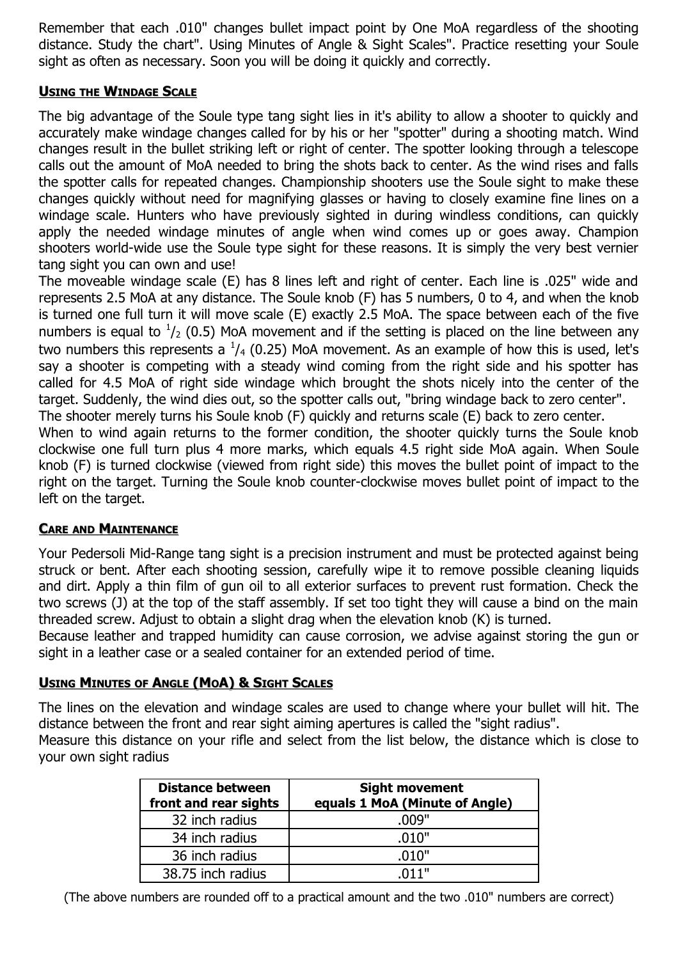Remember that each .010" changes bullet impact point by One MoA regardless of the shooting distance. Study the chart". Using Minutes of Angle & Sight Scales". Practice resetting your Soule sight as often as necessary. Soon you will be doing it quickly and correctly.

#### **USING THE WINDAGE SCALE**

The big advantage of the Soule type tang sight lies in it's ability to allow a shooter to quickly and accurately make windage changes called for by his or her "spotter" during a shooting match. Wind changes result in the bullet striking left or right of center. The spotter looking through a telescope calls out the amount of MoA needed to bring the shots back to center. As the wind rises and falls the spotter calls for repeated changes. Championship shooters use the Soule sight to make these changes quickly without need for magnifying glasses or having to closely examine fine lines on a windage scale. Hunters who have previously sighted in during windless conditions, can quickly apply the needed windage minutes of angle when wind comes up or goes away. Champion shooters world-wide use the Soule type sight for these reasons. It is simply the very best vernier tang sight you can own and use!

The moveable windage scale (E) has 8 lines left and right of center. Each line is .025" wide and represents 2.5 MoA at any distance. The Soule knob (F) has 5 numbers, 0 to 4, and when the knob is turned one full turn it will move scale (E) exactly 2.5 MoA. The space between each of the five numbers is equal to  $\frac{1}{2}$  (0.5) MoA movement and if the setting is placed on the line between any two numbers this represents a  $\frac{1}{4}$  (0.25) MoA movement. As an example of how this is used, let's say a shooter is competing with a steady wind coming from the right side and his spotter has called for 4.5 MoA of right side windage which brought the shots nicely into the center of the target. Suddenly, the wind dies out, so the spotter calls out, "bring windage back to zero center". The shooter merely turns his Soule knob (F) quickly and returns scale (E) back to zero center.

When to wind again returns to the former condition, the shooter quickly turns the Soule knob clockwise one full turn plus 4 more marks, which equals 4.5 right side MoA again. When Soule knob (F) is turned clockwise (viewed from right side) this moves the bullet point of impact to the right on the target. Turning the Soule knob counter-clockwise moves bullet point of impact to the left on the target.

#### **CARE AND MAINTENANCE**

Your Pedersoli Mid-Range tang sight is a precision instrument and must be protected against being struck or bent. After each shooting session, carefully wipe it to remove possible cleaning liquids and dirt. Apply a thin film of gun oil to all exterior surfaces to prevent rust formation. Check the two screws (J) at the top of the staff assembly. If set too tight they will cause a bind on the main threaded screw. Adjust to obtain a slight drag when the elevation knob (K) is turned.

Because leather and trapped humidity can cause corrosion, we advise against storing the gun or sight in a leather case or a sealed container for an extended period of time.

# **USING MINUTES OF ANGLE (MOA) & SIGHT SCALES**

The lines on the elevation and windage scales are used to change where your bullet will hit. The distance between the front and rear sight aiming apertures is called the "sight radius".

Measure this distance on your rifle and select from the list below, the distance which is close to your own sight radius

| <b>Distance between</b><br>front and rear sights | <b>Sight movement</b><br>equals 1 MoA (Minute of Angle) |  |  |
|--------------------------------------------------|---------------------------------------------------------|--|--|
| 32 inch radius                                   | .009"                                                   |  |  |
| 34 inch radius                                   | .010"                                                   |  |  |
| 36 inch radius                                   | .010"                                                   |  |  |
| 38.75 inch radius                                | .011"                                                   |  |  |

(The above numbers are rounded off to a practical amount and the two .010" numbers are correct)